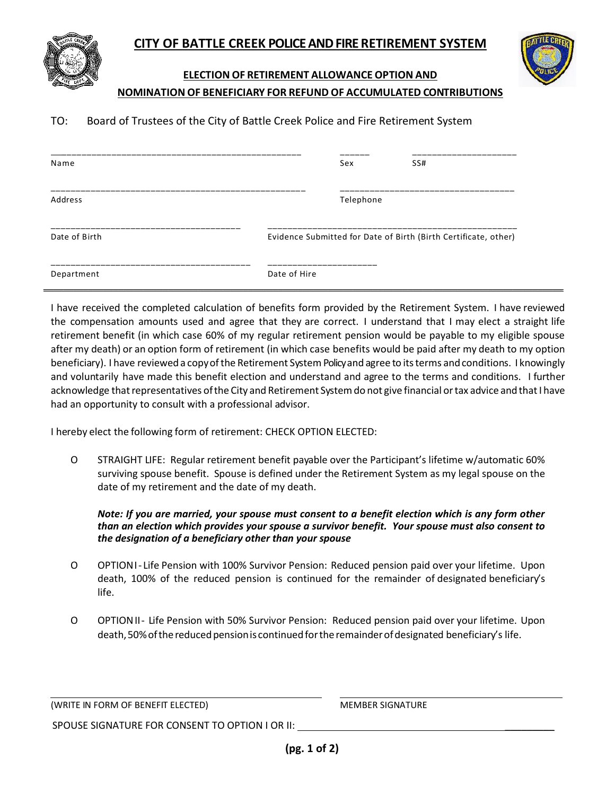

**ELECTION OF RETIREMENT ALLOWANCE OPTION AND**

## **NOMINATION OF BENEFICIARY FOR REFUND OF ACCUMULATED CONTRIBUTIONS**

## TO: Board of Trustees of the City of Battle Creek Police and Fire Retirement System

| Name          | SS#<br>Sex                                                      |
|---------------|-----------------------------------------------------------------|
| Address       | Telephone                                                       |
| Date of Birth | Evidence Submitted for Date of Birth (Birth Certificate, other) |
| Department    | _____________<br>Date of Hire                                   |

I have received the completed calculation of benefits form provided by the Retirement System. I have reviewed the compensation amounts used and agree that they are correct. I understand that I may elect a straight life retirement benefit (in which case 60% of my regular retirement pension would be payable to my eligible spouse after my death) or an option form of retirement (in which case benefits would be paid after my death to my option beneficiary). I have reviewed a copy of the Retirement System Policy and agree to its terms and conditions. I knowingly and voluntarily have made this benefit election and understand and agree to the terms and conditions. I further acknowledge that representatives of the City and Retirement System do not give financial or tax advice and that I have had an opportunity to consult with a professional advisor.

I hereby elect the following form of retirement: CHECK OPTION ELECTED:

О STRAIGHT LIFE: Regular retirement benefit payable over the Participant's lifetime w/automatic 60% surviving spouse benefit. Spouse is defined under the Retirement System as my legal spouse on the date of my retirement and the date of my death.

*Note: If you are married, your spouse must consent to a benefit election which is any form other than an election which provides your spouse a survivor benefit. Your spouse must also consent to the designation of a beneficiary other than your spouse*

- О OPTIONI- Life Pension with 100% Survivor Pension: Reduced pension paid over your lifetime. Upon death, 100% of the reduced pension is continued for the remainder of designated beneficiary's life.
- О OPTIONII- Life Pension with 50% Survivor Pension: Reduced pension paid over your lifetime. Upon death, 50% of the reduced pension is continued for the remainder of designated beneficiary's life.

(WRITE IN FORM OF BENEFIT ELECTED) MEMBER SIGNATURE

SPOUSE SIGNATURE FOR CONSENT TO OPTION I OR II: